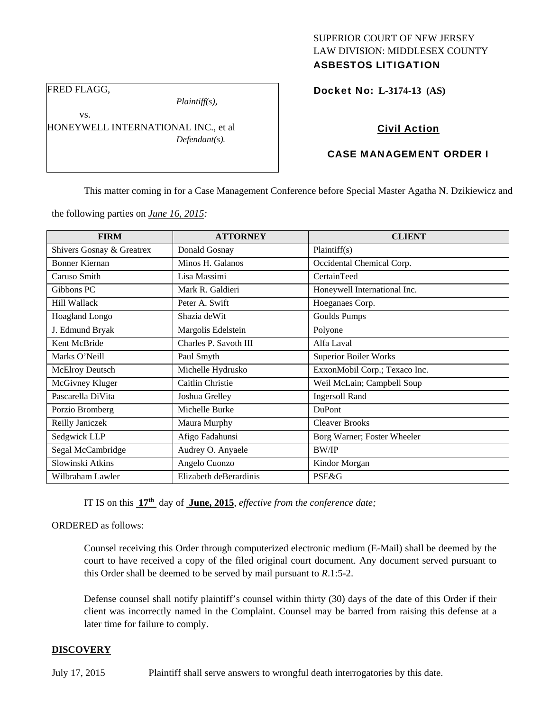## SUPERIOR COURT OF NEW JERSEY LAW DIVISION: MIDDLESEX COUNTY ASBESTOS LITIGATION

FRED FLAGG,

vs.

*Plaintiff(s),* 

HONEYWELL INTERNATIONAL INC., et al *Defendant(s).* 

# Docket No: **L-3174-13 (AS)**

## Civil Action

## CASE MANAGEMENT ORDER I

This matter coming in for a Case Management Conference before Special Master Agatha N. Dzikiewicz and

the following parties on *June 16, 2015:* 

| <b>FIRM</b>               | <b>ATTORNEY</b>        | <b>CLIENT</b>                 |
|---------------------------|------------------------|-------------------------------|
| Shivers Gosnay & Greatrex | Donald Gosnay          | Plaintiff(s)                  |
| Bonner Kiernan            | Minos H. Galanos       | Occidental Chemical Corp.     |
| Caruso Smith              | Lisa Massimi           | CertainTeed                   |
| Gibbons PC                | Mark R. Galdieri       | Honeywell International Inc.  |
| <b>Hill Wallack</b>       | Peter A. Swift         | Hoeganaes Corp.               |
| Hoagland Longo            | Shazia de Wit          | Goulds Pumps                  |
| J. Edmund Bryak           | Margolis Edelstein     | Polyone                       |
| Kent McBride              | Charles P. Savoth III  | Alfa Laval                    |
| Marks O'Neill             | Paul Smyth             | <b>Superior Boiler Works</b>  |
| <b>McElroy Deutsch</b>    | Michelle Hydrusko      | ExxonMobil Corp.; Texaco Inc. |
| McGivney Kluger           | Caitlin Christie       | Weil McLain; Campbell Soup    |
| Pascarella DiVita         | Joshua Grelley         | <b>Ingersoll Rand</b>         |
| Porzio Bromberg           | Michelle Burke         | DuPont                        |
| Reilly Janiczek           | Maura Murphy           | <b>Cleaver Brooks</b>         |
| Sedgwick LLP              | Afigo Fadahunsi        | Borg Warner; Foster Wheeler   |
| Segal McCambridge         | Audrey O. Anyaele      | <b>BW/IP</b>                  |
| Slowinski Atkins          | Angelo Cuonzo          | Kindor Morgan                 |
| Wilbraham Lawler          | Elizabeth deBerardinis | PSE&G                         |

IT IS on this **17th** day of **June, 2015**, *effective from the conference date;*

ORDERED as follows:

Counsel receiving this Order through computerized electronic medium (E-Mail) shall be deemed by the court to have received a copy of the filed original court document. Any document served pursuant to this Order shall be deemed to be served by mail pursuant to *R*.1:5-2.

Defense counsel shall notify plaintiff's counsel within thirty (30) days of the date of this Order if their client was incorrectly named in the Complaint. Counsel may be barred from raising this defense at a later time for failure to comply.

#### **DISCOVERY**

July 17, 2015 Plaintiff shall serve answers to wrongful death interrogatories by this date.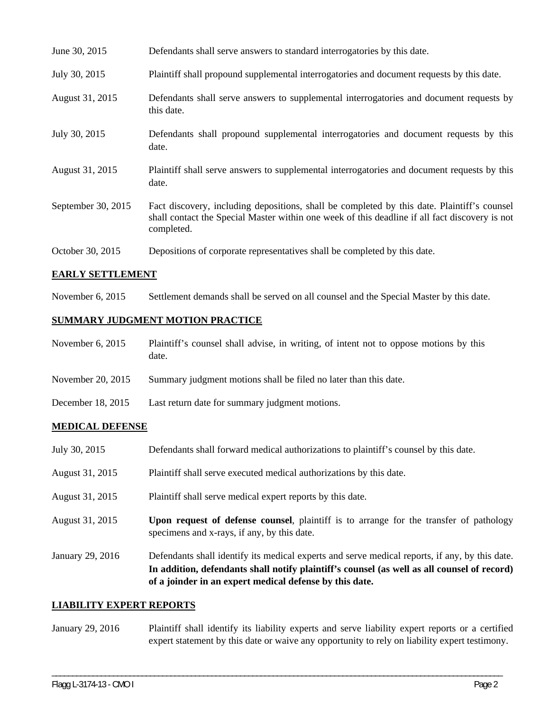| June 30, 2015      | Defendants shall serve answers to standard interrogatories by this date.                                                                                                                                    |
|--------------------|-------------------------------------------------------------------------------------------------------------------------------------------------------------------------------------------------------------|
| July 30, 2015      | Plaintiff shall propound supplemental interrogatories and document requests by this date.                                                                                                                   |
| August 31, 2015    | Defendants shall serve answers to supplemental interrogatories and document requests by<br>this date.                                                                                                       |
| July 30, 2015      | Defendants shall propound supplemental interrogatories and document requests by this<br>date.                                                                                                               |
| August 31, 2015    | Plaintiff shall serve answers to supplemental interrogatories and document requests by this<br>date.                                                                                                        |
| September 30, 2015 | Fact discovery, including depositions, shall be completed by this date. Plaintiff's counsel<br>shall contact the Special Master within one week of this deadline if all fact discovery is not<br>completed. |
| October 30, 2015   | Depositions of corporate representatives shall be completed by this date.                                                                                                                                   |

### **EARLY SETTLEMENT**

November 6, 2015 Settlement demands shall be served on all counsel and the Special Master by this date.

## **SUMMARY JUDGMENT MOTION PRACTICE**

| November $6, 2015$ | Plaintiff's counsel shall advise, in writing, of intent not to oppose motions by this<br>date. |
|--------------------|------------------------------------------------------------------------------------------------|
| November 20, 2015  | Summary judgment motions shall be filed no later than this date.                               |
| December 18, 2015  | Last return date for summary judgment motions.                                                 |

#### **MEDICAL DEFENSE**

| July 30, 2015    | Defendants shall forward medical authorizations to plaintiff's counsel by this date.                                                                                                                                                                     |
|------------------|----------------------------------------------------------------------------------------------------------------------------------------------------------------------------------------------------------------------------------------------------------|
| August 31, 2015  | Plaintiff shall serve executed medical authorizations by this date.                                                                                                                                                                                      |
| August 31, 2015  | Plaintiff shall serve medical expert reports by this date.                                                                                                                                                                                               |
| August 31, 2015  | Upon request of defense counsel, plaintiff is to arrange for the transfer of pathology<br>specimens and x-rays, if any, by this date.                                                                                                                    |
| January 29, 2016 | Defendants shall identify its medical experts and serve medical reports, if any, by this date.<br>In addition, defendants shall notify plaintiff's counsel (as well as all counsel of record)<br>of a joinder in an expert medical defense by this date. |

#### **LIABILITY EXPERT REPORTS**

January 29, 2016 Plaintiff shall identify its liability experts and serve liability expert reports or a certified expert statement by this date or waive any opportunity to rely on liability expert testimony.

\_\_\_\_\_\_\_\_\_\_\_\_\_\_\_\_\_\_\_\_\_\_\_\_\_\_\_\_\_\_\_\_\_\_\_\_\_\_\_\_\_\_\_\_\_\_\_\_\_\_\_\_\_\_\_\_\_\_\_\_\_\_\_\_\_\_\_\_\_\_\_\_\_\_\_\_\_\_\_\_\_\_\_\_\_\_\_\_\_\_\_\_\_\_\_\_\_\_\_\_\_\_\_\_\_\_\_\_\_\_